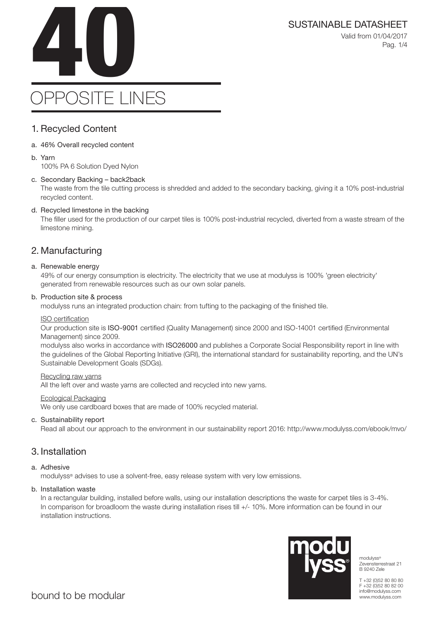SUSTAINABLE DATASHEET<br>Valid from 01/04/2017<br>Pag. 1/4 Valid from 01/04/2017 Pag. 1/4

# OPPOSITE LINES

### 1. Recycled Content

- a. 46% Overall recycled content
- b. Yarn

100% PA 6 Solution Dyed Nylon

### c. Secondary Backing – back2back

The waste from the tile cutting process is shredded and added to the secondary backing, giving it a 10% post-industrial recycled content.

### d. Recycled limestone in the backing

The filler used for the production of our carpet tiles is 100% post-industrial recycled, diverted from a waste stream of the limestone mining.

### 2. Manufacturing

### a. Renewable energy

49% of our energy consumption is electricity. The electricity that we use at modulyss is 100% 'green electricity' generated from renewable resources such as our own solar panels.

### b. Production site & process

modulyss runs an integrated production chain: from tufting to the packaging of the finished tile.

### ISO certification

Our production site is ISO-9001 certified (Quality Management) since 2000 and ISO-14001 certified (Environmental Management) since 2009.

modulyss also works in accordance with ISO26000 and publishes a Corporate Social Responsibility report in line with the guidelines of the Global Reporting Initiative (GRI), the international standard for sustainability reporting, and the UN's Sustainable Development Goals (SDGs).

#### Recycling raw yarns

All the left over and waste yarns are collected and recycled into new yarns.

### Ecological Packaging

We only use cardboard boxes that are made of 100% recycled material.

### c. Sustainability report

Read all about our approach to the environment in our sustainability report 2016: http://www.modulyss.com/ebook/mvo/

### 3. Installation

### a. Adhesive

modulyss® advises to use a solvent-free, easy release system with very low emissions.

### b. Installation waste

In a rectangular building, installed before walls, using our installation descriptions the waste for carpet tiles is 3-4%. In comparison for broadloom the waste during installation rises till +/- 10%. More information can be found in our installation instructions.



modulyss® Zevensterrestraat 21 B 9240 Zele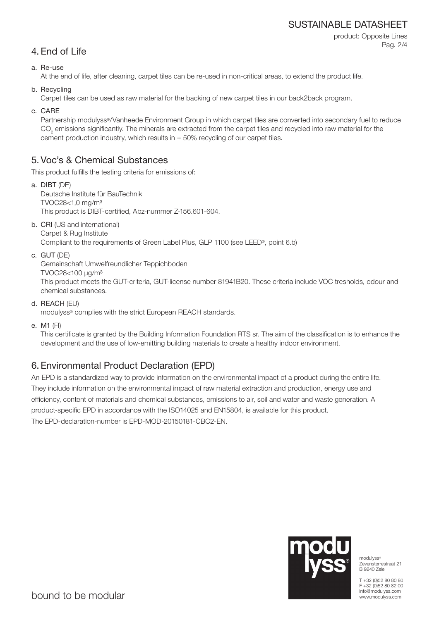### SUSTAINABLE DATASHEET

product: Opposite Lines Pag. 2/4

### 4. End of Life

a. Re-use

At the end of life, after cleaning, carpet tiles can be re-used in non-critical areas, to extend the product life.

b. Recycling

Carpet tiles can be used as raw material for the backing of new carpet tiles in our back2back program.

c. CARE

Partnership modulyss®/Vanheede Environment Group in which carpet tiles are converted into secondary fuel to reduce  $\mathrm{CO}_2$  emissions significantly. The minerals are extracted from the carpet tiles and recycled into raw material for the cement production industry, which results in  $\pm$  50% recycling of our carpet tiles.

### 5. Voc's & Chemical Substances

This product fulfills the testing criteria for emissions of:

- a. DIBT (DE) Deutsche Institute für BauTechnik TVOC28<1,0 mg/m³ This product is DIBT-certified, Abz-nummer Z-156.601-604.
- b. CRI (US and international) Carpet & Rug Institute Compliant to the requirements of Green Label Plus, GLP 1100 (see LEED®, point 6.b)
- c. GUT (DE)

Gemeinschaft Umwelfreundlicher Teppichboden

TVOC28<100 μg/m³

This product meets the GUT-criteria, GUT-license number 81941B20. These criteria include VOC tresholds, odour and chemical substances.

d. REACH (EU)

modulyss® complies with the strict European REACH standards.

e. M1 (FI)

This certificate is granted by the Building Information Foundation RTS sr. The aim of the classification is to enhance the development and the use of low-emitting building materials to create a healthy indoor environment.

## 6. Environmental Product Declaration (EPD)

An EPD is a standardized way to provide information on the environmental impact of a product during the entire life. They include information on the environmental impact of raw material extraction and production, energy use and efficiency, content of materials and chemical substances, emissions to air, soil and water and waste generation. A product-specific EPD in accordance with the ISO14025 and EN15804, is available for this product. The EPD-declaration-number is EPD-MOD-20150181-CBC2-EN.



modulyss® Zevensterrestraat 21 B 9240 Zele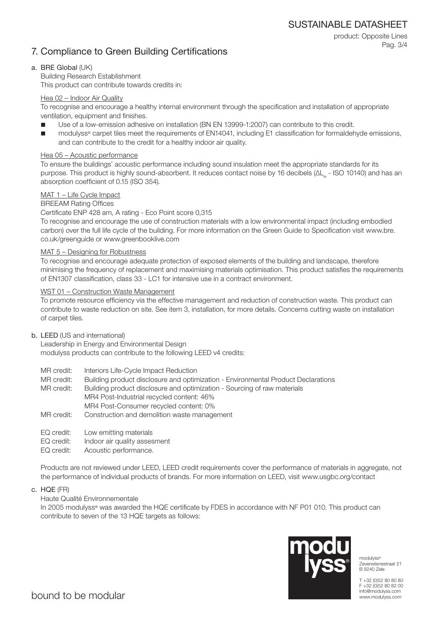SUSTAINABLE DATASHEET

product: Opposite Lines

Pag. 3/4

### 7. Compliance to Green Building Certifications

a. BRE Global (UK)

Building Research Establishment

This product can contribute towards credits in:

### Hea 02 – Indoor Air Quality

To recognise and encourage a healthy internal environment through the specification and installation of appropriate ventilation, equipment and finishes.

- Use of a low-emission adhesive on installation (BN EN 13999-1:2007) can contribute to this credit.
- modulyss® carpet tiles meet the requirements of EN14041, including E1 classification for formaldehyde emissions, and can contribute to the credit for a healthy indoor air quality.

### Hea 05 – Acoustic performance

To ensure the buildings' acoustic performance including sound insulation meet the appropriate standards for its purpose. This product is highly sound-absorbent. It reduces contact noise by 16 decibels (ΔL<sub>w</sub> - ISO 10140) and has an absorption coefficient of 0.15 (ISO 354).

### MAT 1 – Life Cycle Impact

### BREEAM Rating Offices

Certificate ENP 428 am, A rating - Eco Point score 0,315

To recognise and encourage the use of construction materials with a low environmental impact (including embodied carbon) over the full life cycle of the building. For more information on the Green Guide to Specification visit www.bre. co.uk/greenguide or www.greenbooklive.com

### MAT 5 – Designing for Robustness

To recognise and encourage adequate protection of exposed elements of the building and landscape, therefore minimising the frequency of replacement and maximising materials optimisation. This product satisfies the requirements of EN1307 classification, class 33 - LC1 for intensive use in a contract environment.

### WST 01 – Construction Waste Management

To promote resource efficiency via the effective management and reduction of construction waste. This product can contribute to waste reduction on site. See item 3, installation, for more details. Concerns cutting waste on installation of carpet tiles.

### b. LEED (US and international)

Leadership in Energy and Environmental Design modulyss products can contribute to the following LEED v4 credits:

- MR credit: Interiors Life-Cycle Impact Reduction
- MR credit: Building product disclosure and optimization Environmental Product Declarations

MR credit: Building product disclosure and optimization - Sourcing of raw materials MR4 Post-Industrial recycled content: 46% MR4 Post-Consumer recycled content: 0%

- MR credit: Construction and demolition waste management
- EQ credit: Low emitting materials
- EQ credit: Indoor air quality assesment
- EQ credit: Acoustic performance.

Products are not reviewed under LEED, LEED credit requirements cover the performance of materials in aggregate, not the performance of individual products of brands. For more information on LEED, visit www.usgbc.org/contact

c. HQE (FR)

### Haute Qualité Environnementale

In 2005 modulyss® was awarded the HQE certificate by FDES in accordance with NF P01 010. This product can contribute to seven of the 13 HQE targets as follows:



modulyss<sup>®</sup> Zevensterrestraat 21 B 9240 Zele